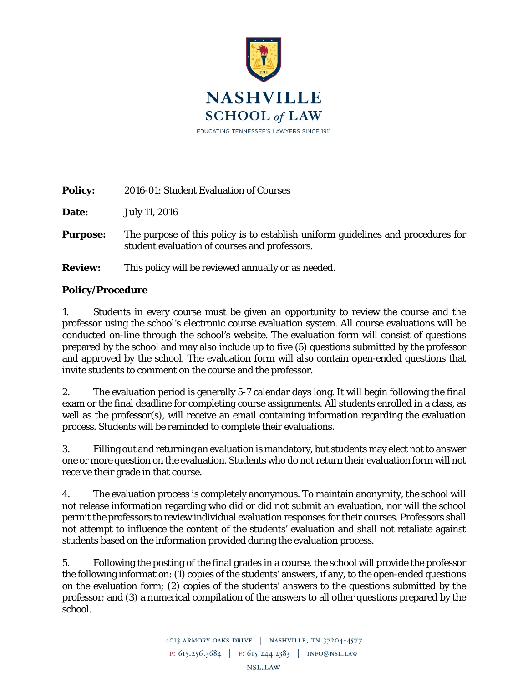

| <b>Policy:</b>  | 2016-01: Student Evaluation of Courses                                                                                            |  |  |
|-----------------|-----------------------------------------------------------------------------------------------------------------------------------|--|--|
| Date:           | July 11, 2016                                                                                                                     |  |  |
| <b>Purpose:</b> | The purpose of this policy is to establish uniform guidelines and procedures for<br>student evaluation of courses and professors. |  |  |
| <b>Review:</b>  | This policy will be reviewed annually or as needed.                                                                               |  |  |

# **Policy/Procedure**

1. Students in every course must be given an opportunity to review the course and the professor using the school's electronic course evaluation system. All course evaluations will be conducted on-line through the school's website. The evaluation form will consist of questions prepared by the school and may also include up to five (5) questions submitted by the professor and approved by the school. The evaluation form will also contain open-ended questions that invite students to comment on the course and the professor.

2. The evaluation period is generally 5-7 calendar days long. It will begin following the final exam or the final deadline for completing course assignments. All students enrolled in a class, as well as the professor(s), will receive an email containing information regarding the evaluation process. Students will be reminded to complete their evaluations.

3. Filling out and returning an evaluation is mandatory, but students may elect not to answer one or more question on the evaluation. Students who do not return their evaluation form will not receive their grade in that course.

4. The evaluation process is completely anonymous. To maintain anonymity, the school will not release information regarding who did or did not submit an evaluation, nor will the school permit the professors to review individual evaluation responses for their courses. Professors shall not attempt to influence the content of the students' evaluation and shall not retaliate against students based on the information provided during the evaluation process.

5. Following the posting of the final grades in a course, the school will provide the professor the following information: (1) copies of the students' answers, if any, to the open-ended questions on the evaluation form; (2) copies of the students' answers to the questions submitted by the professor; and (3) a numerical compilation of the answers to all other questions prepared by the school.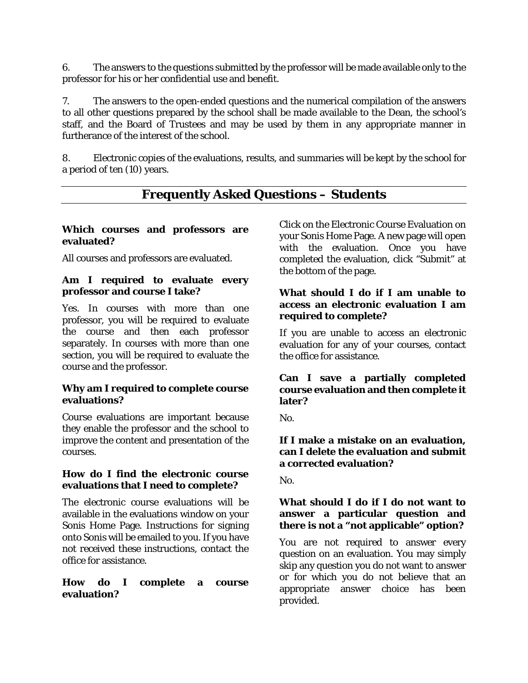6. The answers to the questions submitted by the professor will be made available only to the professor for his or her confidential use and benefit.

7. The answers to the open-ended questions and the numerical compilation of the answers to all other questions prepared by the school shall be made available to the Dean, the school's staff, and the Board of Trustees and may be used by them in any appropriate manner in furtherance of the interest of the school.

8. Electronic copies of the evaluations, results, and summaries will be kept by the school for a period of ten (10) years.

|  |  |  | <b>Frequently Asked Questions - Students</b> |
|--|--|--|----------------------------------------------|
|--|--|--|----------------------------------------------|

#### **Which courses and professors are evaluated?**

All courses and professors are evaluated.

### **Am I required to evaluate every professor and course I take?**

Yes. In courses with more than one professor, you will be required to evaluate the course and then each professor separately. In courses with more than one section, you will be required to evaluate the course and the professor.

# **Why am I required to complete course evaluations?**

Course evaluations are important because they enable the professor and the school to improve the content and presentation of the courses.

#### **How do I find the electronic course evaluations that I need to complete?**

The electronic course evaluations will be available in the evaluations window on your Sonis Home Page. Instructions for signing onto Sonis will be emailed to you. If you have not received these instructions, contact the office for assistance.

### **How do I complete a course evaluation?**

Click on the Electronic Course Evaluation on your Sonis Home Page. A new page will open with the evaluation. Once you have completed the evaluation, click "Submit" at the bottom of the page.

### **What should I do if I am unable to access an electronic evaluation I am required to complete?**

If you are unable to access an electronic evaluation for any of your courses, contact the office for assistance.

### **Can I save a partially completed course evaluation and then complete it later?**

No.

## **If I make a mistake on an evaluation, can I delete the evaluation and submit a corrected evaluation?**

No.

# **What should I do if I do not want to answer a particular question and there is not a "not applicable" option?**

You are not required to answer every question on an evaluation. You may simply skip any question you do not want to answer or for which you do not believe that an appropriate answer choice has been provided.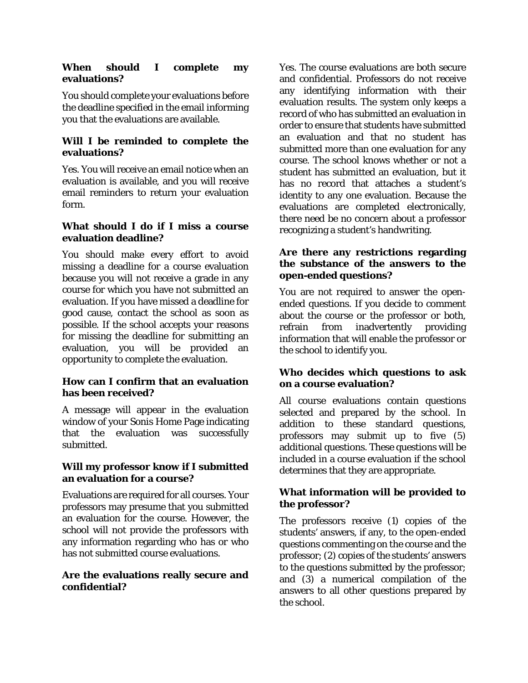# **When should I complete my evaluations?**

You should complete your evaluations before the deadline specified in the email informing you that the evaluations are available.

## **Will I be reminded to complete the evaluations?**

Yes. You will receive an email notice when an evaluation is available, and you will receive email reminders to return your evaluation form.

### **What should I do if I miss a course evaluation deadline?**

You should make every effort to avoid missing a deadline for a course evaluation because you will not receive a grade in any course for which you have not submitted an evaluation. If you have missed a deadline for good cause, contact the school as soon as possible. If the school accepts your reasons for missing the deadline for submitting an evaluation, you will be provided an opportunity to complete the evaluation.

# **How can I confirm that an evaluation has been received?**

A message will appear in the evaluation window of your Sonis Home Page indicating that the evaluation was successfully submitted.

# **Will my professor know if I submitted an evaluation for a course?**

Evaluations are required for all courses. Your professors may presume that you submitted an evaluation for the course. However, the school will not provide the professors with any information regarding who has or who has not submitted course evaluations.

# **Are the evaluations really secure and confidential?**

Yes. The course evaluations are both secure and confidential. Professors do not receive any identifying information with their evaluation results. The system only keeps a record of who has submitted an evaluation in order to ensure that students have submitted an evaluation and that no student has submitted more than one evaluation for any course. The school knows whether or not a student has submitted an evaluation, but it has no record that attaches a student's identity to any one evaluation. Because the evaluations are completed electronically, there need be no concern about a professor recognizing a student's handwriting.

## **Are there any restrictions regarding the substance of the answers to the open-ended questions?**

You are not required to answer the openended questions. If you decide to comment about the course or the professor or both, refrain from inadvertently providing information that will enable the professor or the school to identify you.

# **Who decides which questions to ask on a course evaluation?**

All course evaluations contain questions selected and prepared by the school. In addition to these standard questions, professors may submit up to five (5) additional questions. These questions will be included in a course evaluation if the school determines that they are appropriate.

# **What information will be provided to the professor?**

The professors receive (1) copies of the students' answers, if any, to the open-ended questions commenting on the course and the professor; (2) copies of the students' answers to the questions submitted by the professor; and (3) a numerical compilation of the answers to all other questions prepared by the school.